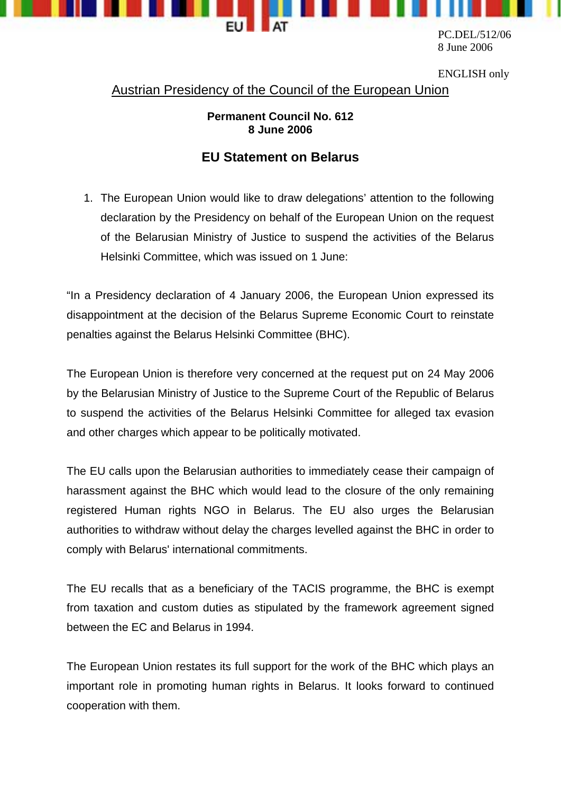

PC.DEL/512/06 8 June 2006

ENGLISH only

Austrian Presidency of the Council of the European Union

## **Permanent Council No. 612 8 June 2006**

## **EU Statement on Belarus**

1. The European Union would like to draw delegations' attention to the following declaration by the Presidency on behalf of the European Union on the request of the Belarusian Ministry of Justice to suspend the activities of the Belarus Helsinki Committee, which was issued on 1 June:

"In a Presidency declaration of 4 January 2006, the European Union expressed its disappointment at the decision of the Belarus Supreme Economic Court to reinstate penalties against the Belarus Helsinki Committee (BHC).

The European Union is therefore very concerned at the request put on 24 May 2006 by the Belarusian Ministry of Justice to the Supreme Court of the Republic of Belarus to suspend the activities of the Belarus Helsinki Committee for alleged tax evasion and other charges which appear to be politically motivated.

The EU calls upon the Belarusian authorities to immediately cease their campaign of harassment against the BHC which would lead to the closure of the only remaining registered Human rights NGO in Belarus. The EU also urges the Belarusian authorities to withdraw without delay the charges levelled against the BHC in order to comply with Belarus' international commitments.

The EU recalls that as a beneficiary of the TACIS programme, the BHC is exempt from taxation and custom duties as stipulated by the framework agreement signed between the EC and Belarus in 1994.

The European Union restates its full support for the work of the BHC which plays an important role in promoting human rights in Belarus. It looks forward to continued cooperation with them.